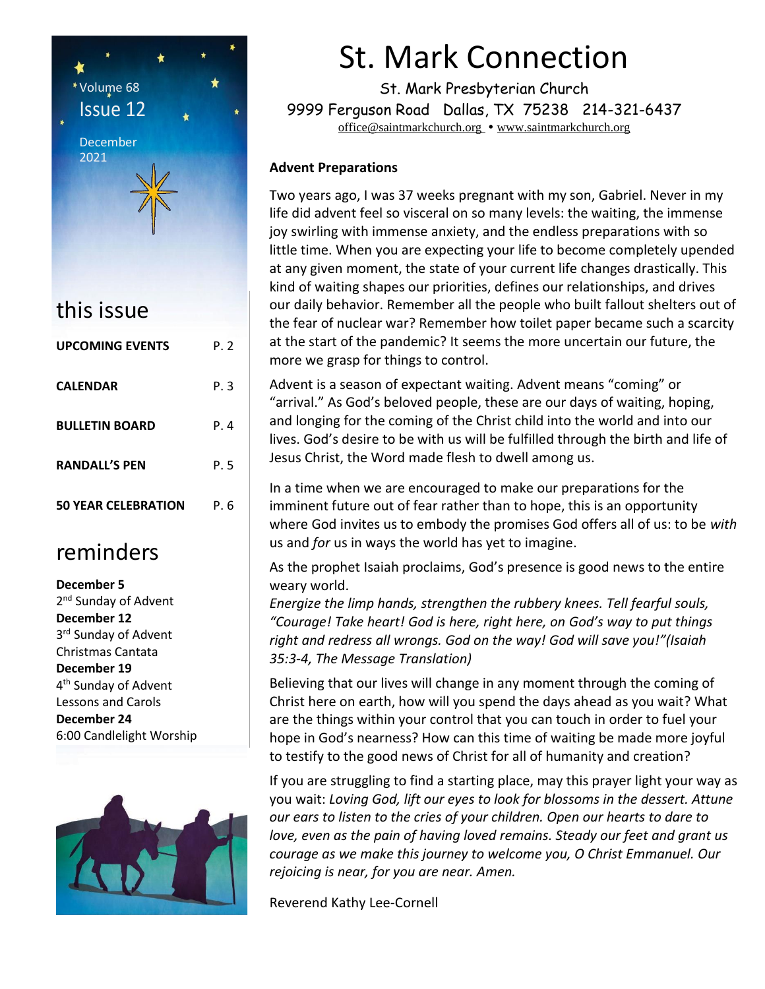

| UPLUIVIIINU EVENTS         | ۲.Z  |
|----------------------------|------|
| <b>CALENDAR</b>            | P. 3 |
| <b>BULLETIN BOARD</b>      | P. 4 |
| <b>RANDALL'S PEN</b>       | P. 5 |
| <b>50 YEAR CELEBRATION</b> | P. 6 |

### reminders

**December 5** 2<sup>nd</sup> Sunday of Advent **December 12** 3<sup>rd</sup> Sunday of Advent Christmas Cantata **December 19** 4 th Sunday of Advent Lessons and Carols **December 24** 6:00 Candlelight Worship



# St. Mark Connection

St. Mark Presbyterian Church 9999 Ferguson Road Dallas, TX 75238 214-321-6437 [office@saintmarkchurch.org](mailto:office@saintmarkchurch.org) • [www.saintmarkchurch.org](http://www.saintmarkchurch.org/)

#### **Advent Preparations**

Two years ago, I was 37 weeks pregnant with my son, Gabriel. Never in my life did advent feel so visceral on so many levels: the waiting, the immense joy swirling with immense anxiety, and the endless preparations with so little time. When you are expecting your life to become completely upended at any given moment, the state of your current life changes drastically. This kind of waiting shapes our priorities, defines our relationships, and drives our daily behavior. Remember all the people who built fallout shelters out of the fear of nuclear war? Remember how toilet paper became such a scarcity at the start of the pandemic? It seems the more uncertain our future, the more we grasp for things to control.

Advent is a season of expectant waiting. Advent means "coming" or "arrival." As God's beloved people, these are our days of waiting, hoping, and longing for the coming of the Christ child into the world and into our lives. God's desire to be with us will be fulfilled through the birth and life of Jesus Christ, the Word made flesh to dwell among us.

In a time when we are encouraged to make our preparations for the imminent future out of fear rather than to hope, this is an opportunity where God invites us to embody the promises God offers all of us: to be *with* us and *for* us in ways the world has yet to imagine.

As the prophet Isaiah proclaims, God's presence is good news to the entire weary world.

*Energize the limp hands, strengthen the rubbery knees. Tell fearful souls, "Courage! Take heart! God is here, right here, on God's way to put things right and redress all wrongs. God on the way! God will save you!"(Isaiah 35:3-4, The Message Translation)*

Believing that our lives will change in any moment through the coming of Christ here on earth, how will you spend the days ahead as you wait? What are the things within your control that you can touch in order to fuel your hope in God's nearness? How can this time of waiting be made more joyful to testify to the good news of Christ for all of humanity and creation?

If you are struggling to find a starting place, may this prayer light your way as you wait: *Loving God, lift our eyes to look for blossoms in the dessert. Attune our ears to listen to the cries of your children. Open our hearts to dare to love, even as the pain of having loved remains. Steady our feet and grant us courage as we make this journey to welcome you, O Christ Emmanuel. Our rejoicing is near, for you are near. Amen.*

Reverend Kathy Lee-Cornell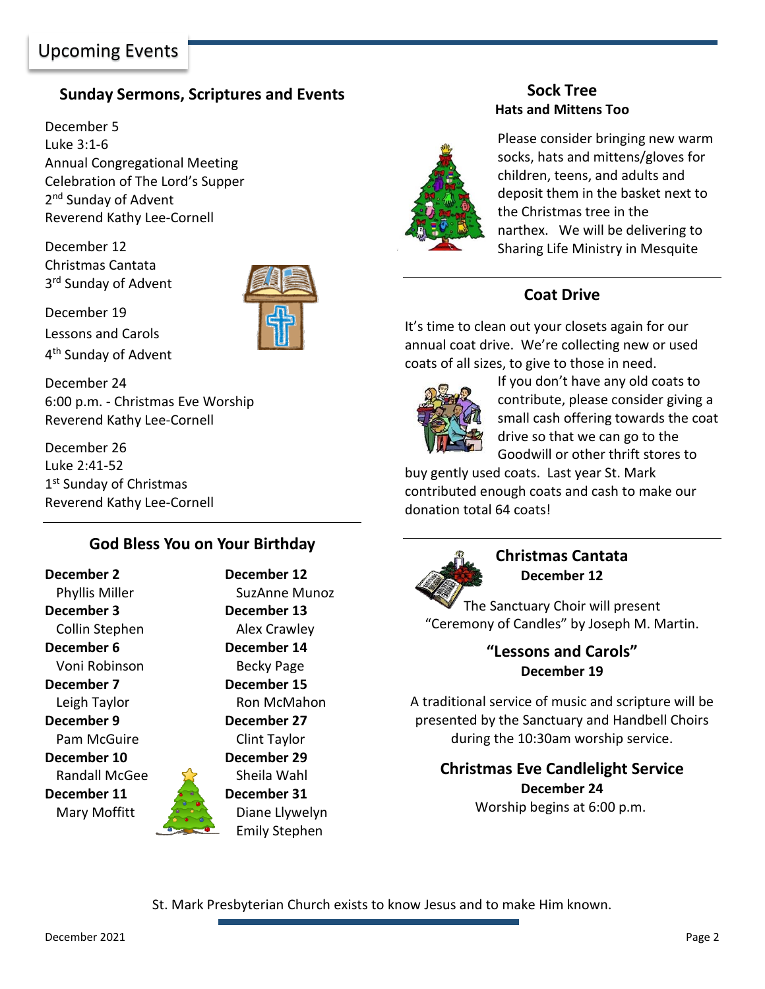#### **Sunday Sermons, Scriptures and Events**

December 5 Luke 3:1-6 Annual Congregational Meeting Celebration of The Lord's Supper 2<sup>nd</sup> Sunday of Advent Reverend Kathy Lee-Cornell

December 12 Christmas Cantata 3<sup>rd</sup> Sunday of Advent



December 19 Lessons and Carols 4<sup>th</sup> Sunday of Advent

December 24 6:00 p.m. - Christmas Eve Worship Reverend Kathy Lee-Cornell

December 26 Luke 2:41-52 1<sup>st</sup> Sunday of Christmas Reverend Kathy Lee-Cornell

#### **God Bless You on Your Birthday**

**December 2 December 12 December 3 December 13** Collin Stephen Alex Crawley **December 6 December 14** Voni Robinson Becky Page **December 7 December 15 December 9 December 27** Pam McGuire Clint Taylor **December 10 December 29** Randall McGee See Sheila Wahl **December 11 December 31** 

Phyllis Miller SuzAnne Munoz Leigh Taylor **Ron McMahon** Mary Moffitt **Diane Llywelyn** Emily Stephen

#### **Sock Tree Hats and Mittens Too**



Please consider bringing new warm socks, hats and mittens/gloves for children, teens, and adults and deposit them in the basket next to the Christmas tree in the narthex. We will be delivering to Sharing Life Ministry in Mesquite

#### **Coat Drive**

It's time to clean out your closets again for our annual coat drive. We're collecting new or used coats of all sizes, to give to those in need.



If you don't have any old coats to contribute, please consider giving a small cash offering towards the coat drive so that we can go to the Goodwill or other thrift stores to

buy gently used coats. Last year St. Mark contributed enough coats and cash to make our donation total 64 coats!



**Christmas Cantata December 12** 

The Sanctuary Choir will present "Ceremony of Candles" by Joseph M. Martin.

> **"Lessons and Carols" December 19**

A traditional service of music and scripture will be presented by the Sanctuary and Handbell Choirs during the 10:30am worship service.

**Christmas Eve Candlelight Service December 24** Worship begins at 6:00 p.m.

St. Mark Presbyterian Church exists to know Jesus and to make Him known.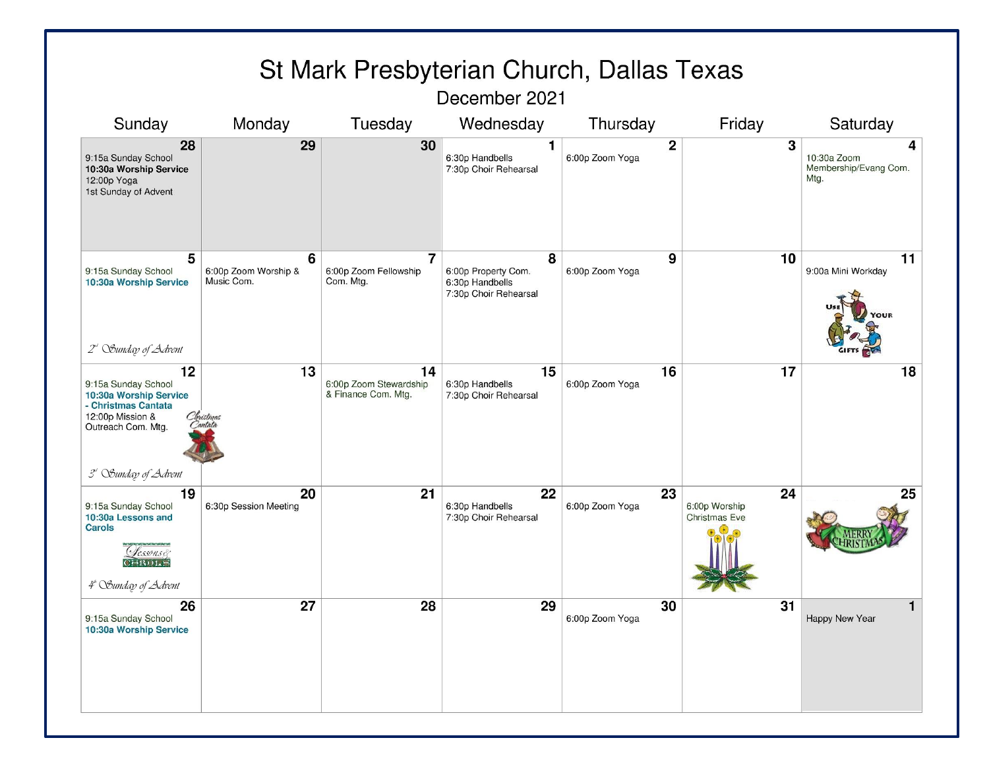| St Mark Presbyterian Church, Dallas Texas                                                                                                   |                                         |                                                      |                                                                      |                                |                                             |                                                   |  |
|---------------------------------------------------------------------------------------------------------------------------------------------|-----------------------------------------|------------------------------------------------------|----------------------------------------------------------------------|--------------------------------|---------------------------------------------|---------------------------------------------------|--|
| December 2021                                                                                                                               |                                         |                                                      |                                                                      |                                |                                             |                                                   |  |
| Sunday                                                                                                                                      | Monday                                  | Tuesday                                              | Wednesday                                                            | Thursday                       | Friday                                      | Saturday                                          |  |
| 28<br>9:15a Sunday School<br>10:30a Worship Service<br>12:00p Yoga<br>1st Sunday of Advent                                                  | 29                                      | 30                                                   | 1<br>6:30p Handbells<br>7:30p Choir Rehearsal                        | $\mathbf 2$<br>6:00p Zoom Yoga | 3                                           | 4<br>10:30a Zoom<br>Membership/Evang Com.<br>Mtg. |  |
| 5<br>9:15a Sunday School<br>10:30a Worship Service<br>2" Sunday of Advent                                                                   | 6<br>6:00p Zoom Worship &<br>Music Com. | $\overline{7}$<br>6:00p Zoom Fellowship<br>Com. Mtg. | 8<br>6:00p Property Com.<br>6:30p Handbells<br>7:30p Choir Rehearsal | 9<br>6:00p Zoom Yoga           | 10                                          | 11<br>9:00a Mini Workday                          |  |
| 12<br>9:15a Sunday School<br>10:30a Worship Service<br>- Christmas Cantata<br>12:00p Mission &<br>Outreach Com. Mtg.<br>3" Sunday of Advent | 13<br>ristmas<br>antati                 | 14<br>6:00p Zoom Stewardship<br>& Finance Com. Mtg.  | 15<br>6:30p Handbells<br>7:30p Choir Rehearsal                       | 16<br>6:00p Zoom Yoga          | 17                                          | 18                                                |  |
| 19<br>9:15a Sunday School<br>10:30a Lessons and<br>Carols<br>essonsé<br><b>AROLS</b><br>4ª Sunday of Advent                                 | 20<br>6:30p Session Meeting             | 21                                                   | 22<br>6:30p Handbells<br>7:30p Choir Rehearsal                       | 23<br>6:00p Zoom Yoga          | 24<br>6:00p Worship<br><b>Christmas Eve</b> | 25                                                |  |
| 26<br>9:15a Sunday School<br>10:30a Worship Service                                                                                         | 27                                      | 28                                                   | 29                                                                   | 30<br>6:00p Zoom Yoga          | 31                                          | Happy New Year                                    |  |

December 2021

Page 3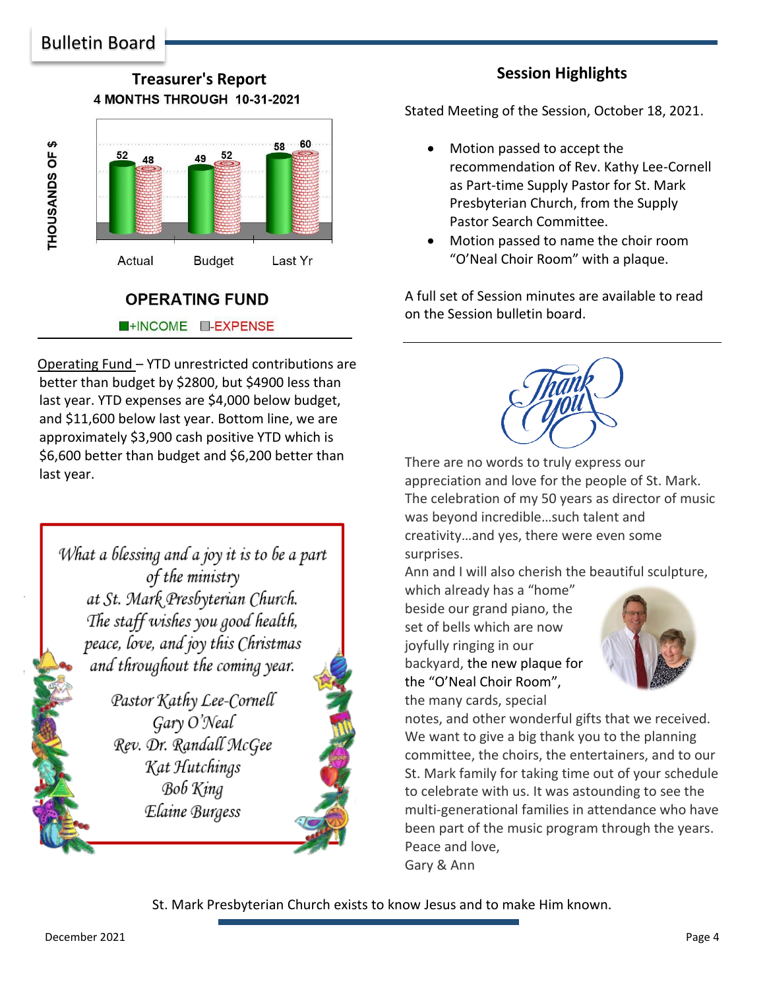**Treasurer's Report** 4 MONTHS THROUGH 10-31-2021



#### **OPERATING FUND INCOME I-EXPENSE**

Operating Fund – YTD unrestricted contributions are better than budget by \$2800, but \$4900 less than last year. YTD expenses are \$4,000 below budget, and \$11,600 below last year. Bottom line, we are approximately \$3,900 cash positive YTD which is \$6,600 better than budget and \$6,200 better than last year.

What a blessing and a joy it is to be a part of the ministry at St. Mark Presbyterian Church. The staff wishes you good health, peace, love, and joy this Christmas and throughout the coming year.

> Pastor Kathy Lee-Cornell Gary O'Neal Rev. Dr. Randall McGee Kat Hutchings **Bob King** Elaine Burgess

## There are no words to truly express our appreciation and love for the people of St. Mark. The celebration of my 50 years as director of music was beyond incredible…such talent and

creativity…and yes, there were even some surprises.

Ann and I will also cherish the beautiful sculpture,

which already has a "home" beside our grand piano, the set of bells which are now joyfully ringing in our backyard, the new plaque for the "O'Neal Choir Room", the many cards, special



notes, and other wonderful gifts that we received. We want to give a big thank you to the planning committee, the choirs, the entertainers, and to our St. Mark family for taking time out of your schedule to celebrate with us. It was astounding to see the multi-generational families in attendance who have been part of the music program through the years. Peace and love, Gary & Ann

St. Mark Presbyterian Church exists to know Jesus and to make Him known.

Stated Meeting of the Session, October 18, 2021.

- Motion passed to accept the recommendation of Rev. Kathy Lee-Cornell as Part-time Supply Pastor for St. Mark Presbyterian Church, from the Supply Pastor Search Committee.
- Motion passed to name the choir room "O'Neal Choir Room" with a plaque.

A full set of Session minutes are available to read on the Session bulletin board.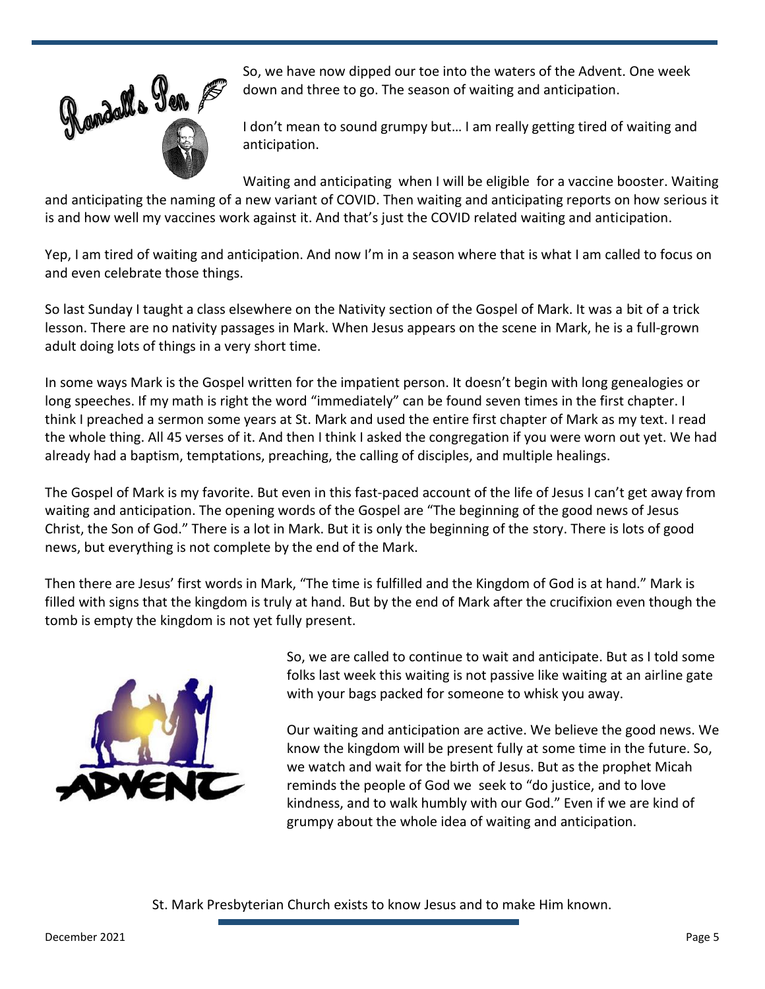

So, we have now dipped our toe into the waters of the Advent. One week down and three to go. The season of waiting and anticipation.

I don't mean to sound grumpy but… I am really getting tired of waiting and anticipation.

Waiting and anticipating when I will be eligible for a vaccine booster. Waiting and anticipating the naming of a new variant of COVID. Then waiting and anticipating reports on how serious it is and how well my vaccines work against it. And that's just the COVID related waiting and anticipation.

Yep, I am tired of waiting and anticipation. And now I'm in a season where that is what I am called to focus on and even celebrate those things.

So last Sunday I taught a class elsewhere on the Nativity section of the Gospel of Mark. It was a bit of a trick lesson. There are no nativity passages in Mark. When Jesus appears on the scene in Mark, he is a full-grown adult doing lots of things in a very short time.

In some ways Mark is the Gospel written for the impatient person. It doesn't begin with long genealogies or long speeches. If my math is right the word "immediately" can be found seven times in the first chapter. I think I preached a sermon some years at St. Mark and used the entire first chapter of Mark as my text. I read the whole thing. All 45 verses of it. And then I think I asked the congregation if you were worn out yet. We had already had a baptism, temptations, preaching, the calling of disciples, and multiple healings.

The Gospel of Mark is my favorite. But even in this fast-paced account of the life of Jesus I can't get away from waiting and anticipation. The opening words of the Gospel are "The beginning of the good news of Jesus Christ, the Son of God." There is a lot in Mark. But it is only the beginning of the story. There is lots of good news, but everything is not complete by the end of the Mark.

Then there are Jesus' first words in Mark, "The time is fulfilled and the Kingdom of God is at hand." Mark is filled with signs that the kingdom is truly at hand. But by the end of Mark after the crucifixion even though the tomb is empty the kingdom is not yet fully present.



So, we are called to continue to wait and anticipate. But as I told some folks last week this waiting is not passive like waiting at an airline gate with your bags packed for someone to whisk you away.

Our waiting and anticipation are active. We believe the good news. We know the kingdom will be present fully at some time in the future. So, we watch and wait for the birth of Jesus. But as the prophet Micah reminds the people of God we seek to "do justice, and to love kindness, and to walk humbly with our God." Even if we are kind of grumpy about the whole idea of waiting and anticipation.

St. Mark Presbyterian Church exists to know Jesus and to make Him known.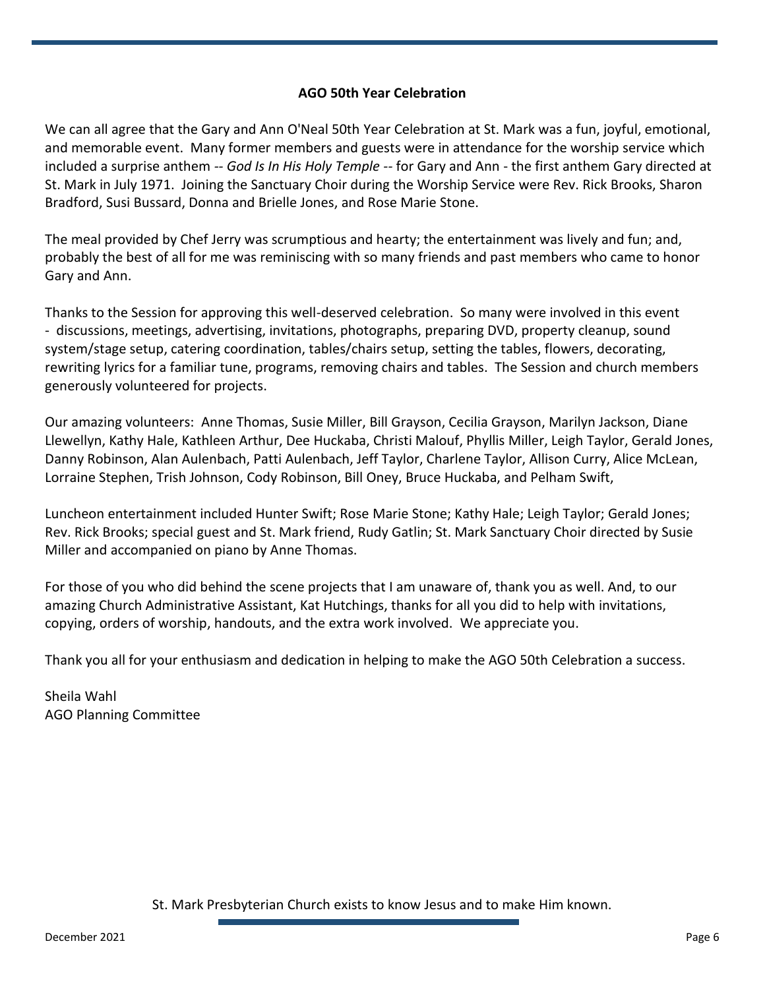#### **AGO 50th Year Celebration**

We can all agree that the Gary and Ann O'Neal 50th Year Celebration at St. Mark was a fun, joyful, emotional, and memorable event. Many former members and guests were in attendance for the worship service which included a surprise anthem *-- God Is In His Holy Temple --* for Gary and Ann - the first anthem Gary directed at St. Mark in July 1971. Joining the Sanctuary Choir during the Worship Service were Rev. Rick Brooks, Sharon Bradford, Susi Bussard, Donna and Brielle Jones, and Rose Marie Stone.

The meal provided by Chef Jerry was scrumptious and hearty; the entertainment was lively and fun; and, probably the best of all for me was reminiscing with so many friends and past members who came to honor Gary and Ann.

Thanks to the Session for approving this well-deserved celebration. So many were involved in this event - discussions, meetings, advertising, invitations, photographs, preparing DVD, property cleanup, sound system/stage setup, catering coordination, tables/chairs setup, setting the tables, flowers, decorating, rewriting lyrics for a familiar tune, programs, removing chairs and tables. The Session and church members generously volunteered for projects.

Our amazing volunteers: Anne Thomas, Susie Miller, Bill Grayson, Cecilia Grayson, Marilyn Jackson, Diane Llewellyn, Kathy Hale, Kathleen Arthur, Dee Huckaba, Christi Malouf, Phyllis Miller, Leigh Taylor, Gerald Jones, Danny Robinson, Alan Aulenbach, Patti Aulenbach, Jeff Taylor, Charlene Taylor, Allison Curry, Alice McLean, Lorraine Stephen, Trish Johnson, Cody Robinson, Bill Oney, Bruce Huckaba, and Pelham Swift,

Luncheon entertainment included Hunter Swift; Rose Marie Stone; Kathy Hale; Leigh Taylor; Gerald Jones; Rev. Rick Brooks; special guest and St. Mark friend, Rudy Gatlin; St. Mark Sanctuary Choir directed by Susie Miller and accompanied on piano by Anne Thomas.

For those of you who did behind the scene projects that I am unaware of, thank you as well. And, to our amazing Church Administrative Assistant, Kat Hutchings, thanks for all you did to help with invitations, copying, orders of worship, handouts, and the extra work involved. We appreciate you.

Thank you all for your enthusiasm and dedication in helping to make the AGO 50th Celebration a success.

Sheila Wahl AGO Planning Committee